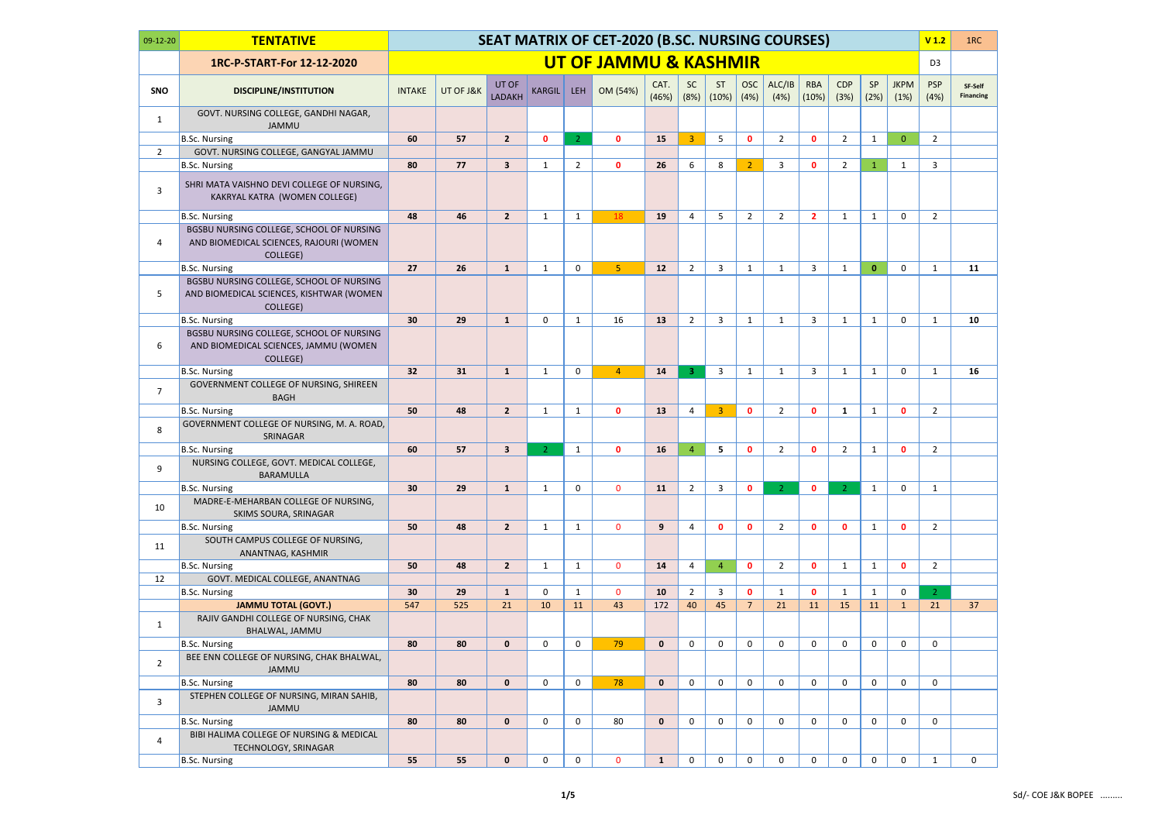| $09-12-20$     | <b>TENTATIVE</b>                                                                                 |                 |           |                        |                |                | SEAT MATRIX OF CET-2020 (B.SC. NURSING COURSES) |               |                   |                |                    |                |                     |                    |              |                     | V <sub>1.2</sub>   | 1RC                         |
|----------------|--------------------------------------------------------------------------------------------------|-----------------|-----------|------------------------|----------------|----------------|-------------------------------------------------|---------------|-------------------|----------------|--------------------|----------------|---------------------|--------------------|--------------|---------------------|--------------------|-----------------------------|
|                | 1RC-P-START-For 12-12-2020                                                                       |                 |           |                        |                |                | UT OF JAMMU & KASHMIR                           |               |                   |                |                    |                |                     |                    |              |                     | D <sub>3</sub>     |                             |
| <b>SNO</b>     | <b>DISCIPLINE/INSTITUTION</b>                                                                    | <b>INTAKE</b>   | UT OF J&K | UT OF<br><b>LADAKH</b> | <b>KARGIL</b>  | LEH            | OM (54%)                                        | CAT.<br>(46%) | <b>SC</b><br>(8%) | ST<br>(10%)    | <b>OSC</b><br>(4%) | ALC/IB<br>(4%) | <b>RBA</b><br>(10%) | <b>CDP</b><br>(3%) | SP<br>(2%)   | <b>JKPM</b><br>(1%) | <b>PSP</b><br>(4%) | SF-Self<br><b>Financing</b> |
| $\mathbf{1}$   | GOVT. NURSING COLLEGE, GANDHI NAGAR,<br><b>JAMMU</b>                                             |                 |           |                        |                |                |                                                 |               |                   |                |                    |                |                     |                    |              |                     |                    |                             |
|                | B.Sc. Nursing                                                                                    | 60              | 57        | $\overline{2}$         | $\mathbf{0}$   | $\overline{2}$ | $\mathbf{0}$                                    | 15            | $\overline{3}$    | 5              | $\mathbf 0$        | $2^{\circ}$    | $\mathbf{0}$        | $\overline{2}$     | $\mathbf{1}$ | $\overline{0}$      | $\overline{2}$     |                             |
| $\overline{2}$ | GOVT. NURSING COLLEGE, GANGYAL JAMMU                                                             |                 |           |                        |                |                |                                                 |               |                   |                |                    |                |                     |                    |              |                     |                    |                             |
|                | B.Sc. Nursing                                                                                    | 80              | 77        | 3                      | $\mathbf{1}$   | $\overline{2}$ | $\mathbf{0}$                                    | 26            | 6                 | 8              | $\overline{2}$     | 3              | $\mathbf{0}$        | $\overline{2}$     | $\mathbf{1}$ | $\mathbf{1}$        | 3                  |                             |
| 3              | SHRI MATA VAISHNO DEVI COLLEGE OF NURSING,<br>KAKRYAL KATRA (WOMEN COLLEGE)                      |                 |           |                        |                |                |                                                 |               |                   |                |                    |                |                     |                    |              |                     |                    |                             |
|                | B.Sc. Nursing                                                                                    | 48              | 46        | 2 <sup>2</sup>         | $\mathbf{1}$   | $\mathbf{1}$   | 18                                              | 19            | 4                 | 5              | $\overline{2}$     | $2^{\circ}$    | $\overline{2}$      | 1                  | $\mathbf{1}$ | 0                   | $\overline{2}$     |                             |
| 4              | BGSBU NURSING COLLEGE, SCHOOL OF NURSING<br>AND BIOMEDICAL SCIENCES, RAJOURI (WOMEN<br>COLLEGE)  |                 |           |                        |                |                |                                                 |               |                   |                |                    |                |                     |                    |              |                     |                    |                             |
|                | B.Sc. Nursing                                                                                    | 27              | 26        | $\mathbf{1}$           | 1              | $\mathbf 0$    | 5 <sub>1</sub>                                  | 12            | $\overline{2}$    | 3              | $\mathbf{1}$       | $\mathbf{1}$   | 3                   | 1                  | $\mathbf{0}$ | $\mathbf 0$         | $\mathbf{1}$       | 11                          |
| 5.             | BGSBU NURSING COLLEGE, SCHOOL OF NURSING<br>AND BIOMEDICAL SCIENCES, KISHTWAR (WOMEN<br>COLLEGE) |                 |           |                        |                |                |                                                 |               |                   |                |                    |                |                     |                    |              |                     |                    |                             |
|                | B.Sc. Nursing                                                                                    | 30              | 29        | $\mathbf{1}$           | $\mathbf 0$    | $\mathbf{1}$   | 16                                              | 13            | $\overline{2}$    | 3              | $\mathbf{1}$       | $\mathbf{1}$   | $\overline{3}$      | $\mathbf{1}$       | $\mathbf{1}$ | $\mathbf 0$         | 1                  | 10                          |
| 6              | BGSBU NURSING COLLEGE, SCHOOL OF NURSING<br>AND BIOMEDICAL SCIENCES, JAMMU (WOMEN<br>COLLEGE)    |                 |           |                        |                |                |                                                 |               |                   |                |                    |                |                     |                    |              |                     |                    |                             |
|                | B.Sc. Nursing                                                                                    | 32              | 31        | $\mathbf{1}$           | 1              | 0              | $\overline{4}$                                  | 14            | 3 <sup>°</sup>    | 3              | 1                  | $\mathbf{1}$   | 3                   | 1                  | $\mathbf{1}$ | $\mathbf 0$         | 1                  | 16                          |
| $\overline{7}$ | GOVERNMENT COLLEGE OF NURSING, SHIREEN<br><b>BAGH</b>                                            |                 |           |                        |                |                |                                                 |               |                   |                |                    |                |                     |                    |              |                     |                    |                             |
|                | B.Sc. Nursing                                                                                    | 50              | 48        | $\overline{2}$         | $\mathbf{1}$   | $\mathbf{1}$   | $\mathbf{0}$                                    | 13            | 4                 | 3              | $\mathbf{0}$       | $\overline{2}$ | $\mathbf{0}$        | 1                  | $\mathbf{1}$ | $\mathbf{0}$        | $\overline{2}$     |                             |
| 8              | GOVERNMENT COLLEGE OF NURSING, M. A. ROAD,<br>SRINAGAR                                           |                 |           |                        |                |                |                                                 |               |                   |                |                    |                |                     |                    |              |                     |                    |                             |
|                | B.Sc. Nursing                                                                                    | 60              | 57        | 3                      | $\overline{2}$ | $\mathbf{1}$   | $\mathbf{0}$                                    | 16            | $\overline{4}$    | 5              | $\mathbf{0}$       | $\overline{2}$ | $\mathbf{0}$        | $\overline{2}$     | $\mathbf{1}$ | $\mathbf{0}$        | $\overline{2}$     |                             |
| 9              | NURSING COLLEGE, GOVT. MEDICAL COLLEGE,<br><b>BARAMULLA</b>                                      |                 |           |                        |                |                |                                                 |               |                   |                |                    |                |                     |                    |              |                     |                    |                             |
|                | B.Sc. Nursing                                                                                    | 30 <sub>o</sub> | 29        | $\mathbf{1}$           | $\mathbf{1}$   | $\mathbf 0$    | $\mathbf{0}$                                    | 11            | $2^{\circ}$       | 3              | $\mathbf{0}$       | 2 <sup>1</sup> | $\mathbf{0}$        | $\overline{2}$     | $\mathbf{1}$ | $\mathbf 0$         | 1                  |                             |
| 10             | MADRE-E-MEHARBAN COLLEGE OF NURSING,<br>SKIMS SOURA, SRINAGAR                                    |                 |           |                        |                |                |                                                 |               |                   |                |                    |                |                     |                    |              |                     |                    |                             |
|                | B.Sc. Nursing                                                                                    | 50              | 48        | $\overline{2}$         | $\mathbf{1}$   | $\mathbf{1}$   | $\mathbf{0}$                                    | 9             | $\overline{4}$    | $\mathbf{0}$   | $\mathbf{0}$       | $2^{\circ}$    | $\mathbf{0}$        | $\mathbf{0}$       | $\mathbf{1}$ | $\mathbf{0}$        | $\overline{2}$     |                             |
| 11             | SOUTH CAMPUS COLLEGE OF NURSING,<br>ANANTNAG, KASHMIR                                            |                 |           |                        |                |                |                                                 |               |                   |                |                    |                |                     |                    |              |                     |                    |                             |
|                | B.Sc. Nursing                                                                                    | 50              | 48        | $\overline{2}$         | $\mathbf{1}$   | $\mathbf{1}$   | $\mathbf{0}$                                    | 14            | 4                 | $\overline{4}$ | $\mathbf{0}$       | $2^{\circ}$    | $\mathbf{0}$        | $\mathbf{1}$       | $\mathbf{1}$ | $\mathbf{0}$        | $\overline{2}$     |                             |
| 12             | GOVT. MEDICAL COLLEGE, ANANTNAG<br>B.Sc. Nursing                                                 | 30              | 29        | $\mathbf{1}$           | $\mathbf 0$    | $\mathbf{1}$   | $\mathbf 0$                                     | 10            | $\overline{2}$    | 3              | $\mathbf{0}$       | $\mathbf{1}$   | $\mathbf{0}$        | $\mathbf{1}$       | $\mathbf{1}$ | 0                   | $\overline{2}$     |                             |
|                | <b>JAMMU TOTAL (GOVT.)</b>                                                                       | 547             | 525       | 21                     | 10             | 11             | 43                                              | 172           | 40                | 45             | $\overline{7}$     | 21             | 11                  | 15                 | 11           | 1                   | 21                 | 37                          |
| $\mathbf{1}$   | RAJIV GANDHI COLLEGE OF NURSING, CHAK<br>BHALWAL, JAMMU                                          |                 |           |                        |                |                |                                                 |               |                   |                |                    |                |                     |                    |              |                     |                    |                             |
|                | B.Sc. Nursing                                                                                    | 80              | 80        | $\mathbf{0}$           | 0              | $\mathbf 0$    | 79                                              | $\mathbf{0}$  | 0                 | 0              | $\mathbf 0$        | $\mathbf 0$    | $\mathbf 0$         | $\mathbf 0$        | 0            | $\mathbf 0$         | $\mathbf 0$        |                             |
| $2^{\circ}$    | BEE ENN COLLEGE OF NURSING, CHAK BHALWAL,<br>JAMMU                                               |                 |           |                        |                |                |                                                 |               |                   |                |                    |                |                     |                    |              |                     |                    |                             |
|                | B.Sc. Nursing                                                                                    | 80              | 80        | $\mathbf{0}$           | $\mathbf 0$    | 0              | 78                                              | $\mathbf{0}$  | 0                 | $\mathbf 0$    | $\mathbf 0$        | 0              | $\mathbf 0$         | 0                  | 0            | 0                   | $\mathbf 0$        |                             |
| 3              | STEPHEN COLLEGE OF NURSING, MIRAN SAHIB,<br><b>JAMMU</b>                                         |                 |           |                        |                |                |                                                 |               |                   |                |                    |                |                     |                    |              |                     |                    |                             |
|                | B.Sc. Nursing                                                                                    | 80              | 80        | $\mathbf 0$            | $\mathbf 0$    | $\mathbf 0$    | 80                                              | $\mathbf{0}$  | 0                 | 0              | $\mathbf 0$        | $\mathbf{0}$   | $\mathbf 0$         | $\mathbf 0$        | $\mathbf 0$  | $\mathbf 0$         | $\mathbf 0$        |                             |
| 4              | BIBI HALIMA COLLEGE OF NURSING & MEDICAL<br>TECHNOLOGY, SRINAGAR                                 |                 |           |                        |                |                |                                                 |               |                   |                |                    |                |                     |                    |              |                     |                    |                             |
|                | B.Sc. Nursing                                                                                    | 55              | 55        | $\mathbf 0$            | 0              | $\mathbf 0$    | $\mathbf 0$                                     | $\mathbf{1}$  | 0                 | 0              | 0                  | 0              | 0                   | $\mathbf 0$        | $\mathbf 0$  | $\mathbf 0$         | 1                  | 0                           |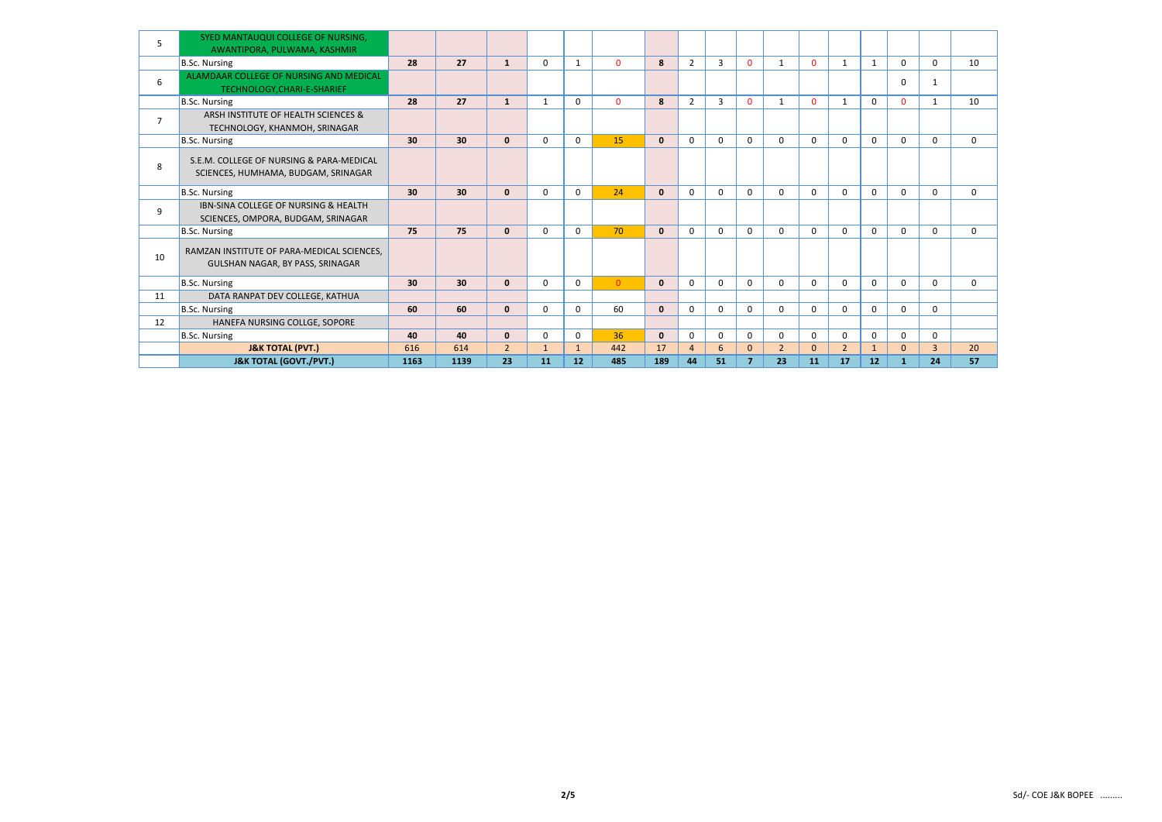| 5              | SYED MANTAUQUI COLLEGE OF NURSING,<br>AWANTIPORA, PULWAMA, KASHMIR                    |      |      |                |              |              |                |              |                |                |                |                |              |                |              |              |                |             |
|----------------|---------------------------------------------------------------------------------------|------|------|----------------|--------------|--------------|----------------|--------------|----------------|----------------|----------------|----------------|--------------|----------------|--------------|--------------|----------------|-------------|
|                | B.Sc. Nursing                                                                         | 28   | 27   | $\mathbf{1}$   | $\Omega$     | 1            | $\mathbf{0}$   | 8            | $\overline{2}$ | 3              | $\mathbf{0}$   | $\mathbf{1}$   | $\mathbf{0}$ | 1              | 1            | $\Omega$     | $\Omega$       | 10          |
| 6              | ALAMDAAR COLLEGE OF NURSING AND MEDICAL<br>TECHNOLOGY, CHARI-E-SHARIEF                |      |      |                |              |              |                |              |                |                |                |                |              |                |              | 0            | $\mathbf{1}$   |             |
|                | B.Sc. Nursing                                                                         | 28   | 27   | $\mathbf{1}$   | 1            | 0            | $\Omega$       | 8            | $\overline{2}$ | $\overline{3}$ | $\mathbf{0}$   | $\mathbf{1}$   | $\Omega$     | 1              | $\mathbf{0}$ | $\mathbf{0}$ | $\mathbf{1}$   | 10          |
| $\overline{7}$ | ARSH INSTITUTE OF HEALTH SCIENCES &<br>TECHNOLOGY, KHANMOH, SRINAGAR                  |      |      |                |              |              |                |              |                |                |                |                |              |                |              |              |                |             |
|                | B.Sc. Nursing                                                                         | 30   | 30   | $\mathbf{0}$   | $\Omega$     | $\Omega$     | 15             | $\mathbf{0}$ | $\mathbf 0$    | $\Omega$       | $\mathbf{0}$   | $\Omega$       | 0            | $\mathbf{0}$   | 0            | $\mathbf{0}$ | $\Omega$       | $\Omega$    |
| 8              | S.E.M. COLLEGE OF NURSING & PARA-MEDICAL<br>SCIENCES, HUMHAMA, BUDGAM, SRINAGAR       |      |      |                |              |              |                |              |                |                |                |                |              |                |              |              |                |             |
|                | B.Sc. Nursing                                                                         | 30   | 30   | $\mathbf{0}$   | $\mathbf{0}$ | 0            | 24             | $\mathbf{0}$ | $\mathbf 0$    | $\Omega$       | $\mathbf 0$    | $\Omega$       | 0            | 0              | $\mathbf{0}$ | 0            | $\mathbf 0$    | $\mathbf 0$ |
| 9              | <b>IBN-SINA COLLEGE OF NURSING &amp; HEALTH</b><br>SCIENCES, OMPORA, BUDGAM, SRINAGAR |      |      |                |              |              |                |              |                |                |                |                |              |                |              |              |                |             |
|                | B.Sc. Nursing                                                                         | 75   | 75   | $\mathbf{0}$   | $\mathbf{0}$ | $\Omega$     | 70             | $\mathbf{0}$ | $\Omega$       | $\Omega$       | $\mathbf{0}$   | $\Omega$       | 0            | $\mathbf{0}$   | $\mathbf 0$  | $\Omega$     | $\Omega$       | $\Omega$    |
| 10             | RAMZAN INSTITUTE OF PARA-MEDICAL SCIENCES,<br>GULSHAN NAGAR, BY PASS, SRINAGAR        |      |      |                |              |              |                |              |                |                |                |                |              |                |              |              |                |             |
|                | B.Sc. Nursing                                                                         | 30   | 30   | $\mathbf{0}$   | 0            | 0            | $\overline{0}$ | $\mathbf{0}$ | $\mathbf 0$    | $\Omega$       | $\mathbf 0$    | $\mathbf 0$    | 0            | 0              | $\mathbf{0}$ | 0            | $\mathbf 0$    | $\mathbf 0$ |
| 11             | DATA RANPAT DEV COLLEGE, KATHUA                                                       |      |      |                |              |              |                |              |                |                |                |                |              |                |              |              |                |             |
|                | B.Sc. Nursing                                                                         | 60   | 60   | $\mathbf{0}$   | $\mathbf{0}$ | $\Omega$     | 60             | $\mathbf{0}$ | $\mathbf{0}$   | $\Omega$       | $\Omega$       | $\Omega$       | 0            | $\mathbf{0}$   | $\mathbf 0$  | $\mathbf{0}$ | $\Omega$       |             |
| 12             | HANEFA NURSING COLLGE, SOPORE                                                         |      |      |                |              |              |                |              |                |                |                |                |              |                |              |              |                |             |
|                | B.Sc. Nursing                                                                         | 40   | 40   | $\mathbf{0}$   | $\Omega$     | 0            | 36             | $\mathbf{0}$ | $\mathbf 0$    | $\mathbf 0$    | $\mathbf 0$    | $\mathbf 0$    | 0            | $\mathbf 0$    | $\mathbf 0$  | 0            | $\mathbf 0$    |             |
|                | <b>J&amp;K TOTAL (PVT.)</b>                                                           | 616  | 614  | $\overline{2}$ | $\mathbf{1}$ | $\mathbf{1}$ | 442            | 17           | $\overline{4}$ | 6              | $\mathbf{0}$   | $\overline{2}$ | $\Omega$     | $\overline{2}$ | $\mathbf{1}$ | $\mathbf{0}$ | $\overline{3}$ | 20          |
|                | <b>J&amp;K TOTAL (GOVT./PVT.)</b>                                                     | 1163 | 1139 | 23             | 11           | 12           | 485            | 189          | 44             | 51             | $\overline{7}$ | 23             | <b>11</b>    | 17             | 12           | -1           | 24             | 57          |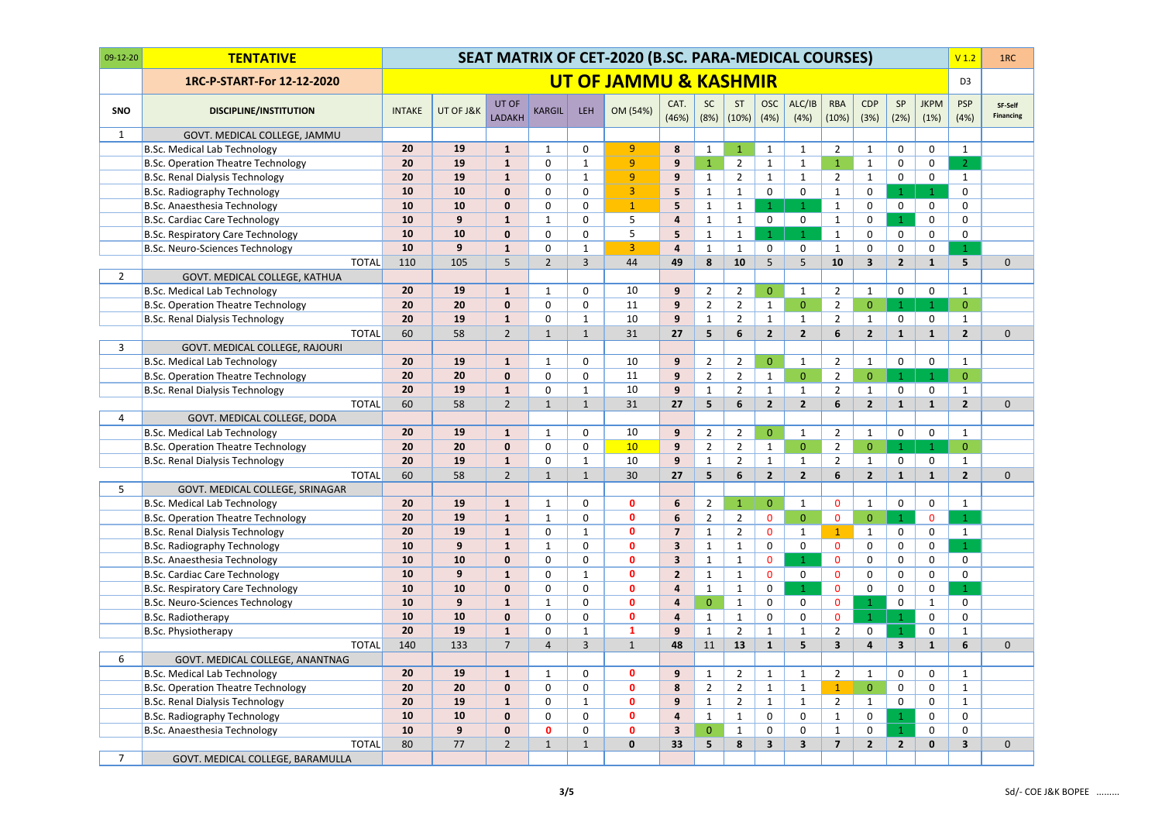| $09-12-20$     | <b>TENTATIVE</b>                          | SEAT MATRIX OF CET-2020 (B.SC. PARA-MEDICAL COURSES) |           |                        |                |                |                       |                         |                   |                  |                         |                         |                     |                    |                |                     | V <sub>1.2</sub>        | 1RC                         |
|----------------|-------------------------------------------|------------------------------------------------------|-----------|------------------------|----------------|----------------|-----------------------|-------------------------|-------------------|------------------|-------------------------|-------------------------|---------------------|--------------------|----------------|---------------------|-------------------------|-----------------------------|
|                | 1RC-P-START-For 12-12-2020                |                                                      |           |                        |                |                | UT OF JAMMU & KASHMIR |                         |                   |                  |                         |                         |                     |                    |                |                     | D <sub>3</sub>          |                             |
| <b>SNO</b>     | <b>DISCIPLINE/INSTITUTION</b>             | <b>INTAKE</b>                                        | UT OF J&K | UT OF<br><b>LADAKH</b> | KARGIL         | LEH            | OM (54%)              | CAT.<br>(46%)           | <b>SC</b><br>(8%) | ST<br>(10%)      | <b>OSC</b><br>(4%)      | ALC/IB<br>(4%)          | <b>RBA</b><br>(10%) | <b>CDP</b><br>(3%) | SP<br>(2%)     | <b>JKPM</b><br>(1%) | <b>PSP</b><br>(4% )     | SF-Self<br><b>Financing</b> |
| $\mathbf{1}$   | GOVT. MEDICAL COLLEGE, JAMMU              |                                                      |           |                        |                |                |                       |                         |                   |                  |                         |                         |                     |                    |                |                     |                         |                             |
|                | <b>B.Sc. Medical Lab Technology</b>       | 20                                                   | 19        | $\mathbf{1}$           | $\mathbf{1}$   | 0              | 9                     | 8                       | 1                 | $\mathbf{1}$     | $\mathbf{1}$            | $\mathbf{1}$            | $\overline{2}$      | $\mathbf{1}$       | 0              | $\mathbf 0$         | $\mathbf{1}$            |                             |
|                | <b>B.Sc. Operation Theatre Technology</b> | 20                                                   | 19        | $\mathbf{1}$           | $\Omega$       | 1              | 9                     | 9                       | $\mathbf{1}$      | $\overline{2}$   | $\mathbf{1}$            | $\mathbf{1}$            | $\mathbf{1}$        | $\mathbf 1$        | 0              | 0                   | $\overline{2}$          |                             |
|                | <b>B.Sc. Renal Dialysis Technology</b>    | 20                                                   | 19        | 1                      | 0              |                | $\overline{9}$        | 9                       | $\mathbf{1}$      | $\overline{2}$   | 1                       | 1                       | $\overline{2}$      | 1                  | $\mathbf 0$    | $\mathbf 0$         | $\mathbf{1}$            |                             |
|                | <b>B.Sc. Radiography Technology</b>       | 10                                                   | 10        | $\bf{0}$               | $\Omega$       | $\Omega$       | 3                     | 5                       |                   | $\mathbf{1}$     | $\mathbf 0$             | $\mathbf 0$             | 1                   | 0                  | $\mathbf{1}$   | 1                   | $\mathbf 0$             |                             |
|                | B.Sc. Anaesthesia Technology              | 10                                                   | 10        | $\bf{0}$               | 0              | 0              | $\mathbf{1}$          | 5                       |                   | $\mathbf{1}$     | 1                       | $\mathbf{1}$            | 1                   | $\mathbf 0$        | 0              | 0                   | $\mathbf 0$             |                             |
|                | <b>B.Sc. Cardiac Care Technology</b>      | 10                                                   | 9         | $\mathbf{1}$           | -1             | 0              | 5                     | $\overline{\mathbf{4}}$ | 1                 | $\mathbf{1}$     | 0                       | $\mathbf 0$             | 1                   | $\mathbf 0$        | $\mathbf{1}$   | 0                   | $\mathbf 0$             |                             |
|                | <b>B.Sc. Respiratory Care Technology</b>  | 10                                                   | 10        | $\bf{0}$               | $\Omega$       | 0              | 5                     | 5                       | 1                 | 1                | 1                       | $\mathbf{1}$            | 1                   | 0                  | 0              | 0                   | $\mathbf 0$             |                             |
|                | <b>B.Sc. Neuro-Sciences Technology</b>    | 10                                                   | 9         | $\mathbf{1}$           | $\Omega$       | 1              | 3                     | $\overline{4}$          | 1                 | $\mathbf{1}$     | $\mathbf{0}$            | $\mathbf 0$             | 1                   | 0                  | 0              | 0                   | $\mathbf{1}$            |                             |
|                | <b>TOTAL</b>                              | 110                                                  | 105       | 5                      | $\overline{2}$ | 3              | 44                    | 49                      | 8                 | 10               | 5                       | 5                       | 10                  | 3                  | $\overline{2}$ | $\mathbf{1}$        | 5                       | $\mathbf 0$                 |
| $\overline{2}$ | GOVT. MEDICAL COLLEGE, KATHUA             |                                                      |           |                        |                |                |                       |                         |                   |                  |                         |                         |                     |                    |                |                     |                         |                             |
|                | <b>B.Sc. Medical Lab Technology</b>       | 20                                                   | 19        | $\mathbf{1}$           |                | 0              | 10                    | 9                       | $\overline{2}$    | $\overline{2}$   | $\mathbf{0}$            | $\mathbf{1}$            | $\overline{2}$      | 1                  | 0              | 0                   | $\mathbf{1}$            |                             |
|                | <b>B.Sc. Operation Theatre Technology</b> | 20                                                   | 20        | $\bf{0}$               | $\Omega$       | 0              | 11                    | $\mathbf{9}$            | $\overline{2}$    | $\overline{2}$   | $\mathbf{1}$            | $\mathbf{0}$            | $\overline{2}$      | $\overline{0}$     | 1              | $\mathbf{1}$        | $\overline{0}$          |                             |
|                | <b>B.Sc. Renal Dialysis Technology</b>    | 20                                                   | 19        | $\mathbf{1}$           | 0              | 1              | 10                    | $\mathbf{9}$            | $\mathbf 1$       | $\overline{2}$   | $\mathbf{1}$            | $\mathbf{1}$            | $\overline{2}$      | $\mathbf{1}$       | 0              | 0                   | $\mathbf{1}$            |                             |
|                | <b>TOTAL</b>                              | 60                                                   | 58        | $\overline{2}$         | -1             | $\mathbf{1}$   | 31                    | 27                      | 5                 | $6\phantom{1}6$  | $\overline{2}$          | $\overline{2}$          | 6                   | $\overline{2}$     | $\mathbf{1}$   | $\mathbf{1}$        | $\overline{2}$          | $\mathbf 0$                 |
| 3              | GOVT. MEDICAL COLLEGE, RAJOURI            |                                                      |           |                        |                |                |                       |                         |                   |                  |                         |                         |                     |                    |                |                     |                         |                             |
|                | <b>B.Sc. Medical Lab Technology</b>       | 20                                                   | 19        | 1                      |                | 0              | 10                    | 9                       | $\overline{2}$    | $\overline{2}$   | $\mathbf{0}$            | $\mathbf{1}$            | $\overline{2}$      | -1                 | 0              | $\mathbf 0$         | $\mathbf{1}$            |                             |
|                | <b>B.Sc. Operation Theatre Technology</b> | 20                                                   | 20        | $\mathbf 0$            | $\Omega$       | $\mathbf{0}$   | 11                    | 9                       | $\overline{2}$    | $\overline{2}$   | $\mathbf{1}$            | $\mathbf{0}$            | $2^{\circ}$         | $\mathbf{0}$       | 1              | $\mathbf 1$         | $\overline{0}$          |                             |
|                | <b>B.Sc. Renal Dialysis Technology</b>    | 20                                                   | 19        | $\mathbf{1}$           | $\Omega$       | $\mathbf 1$    | 10                    | 9                       | 1                 | $\overline{2}$   | 1                       | $\mathbf{1}$            | $\overline{2}$      | $\mathbf{1}$       | 0              | 0                   | $\mathbf{1}$            |                             |
|                | <b>TOTAL</b>                              | 60                                                   | 58        | $\overline{2}$         |                | 1              | 31                    | 27                      | 5                 | $\boldsymbol{6}$ | $\overline{2}$          | $\overline{2}$          | 6                   | $\overline{2}$     | $\mathbf{1}$   | $\mathbf{1}$        | $\overline{2}$          | $\mathbf 0$                 |
| 4              | GOVT. MEDICAL COLLEGE, DODA               |                                                      |           |                        |                |                |                       |                         |                   |                  |                         |                         |                     |                    |                |                     |                         |                             |
|                | <b>B.Sc. Medical Lab Technology</b>       | 20                                                   | 19        | 1                      | 1              | 0              | 10                    | 9                       | $\overline{2}$    | $\overline{2}$   | $\mathbf{0}$            | $\mathbf{1}$            | $\overline{2}$      | $\mathbf{1}$       | 0              | 0                   | $\mathbf{1}$            |                             |
|                | <b>B.Sc. Operation Theatre Technology</b> | 20                                                   | 20        | $\mathbf 0$            | $\Omega$       | 0              | 10                    | 9                       | $\overline{2}$    | $\overline{2}$   | $\mathbf{1}$            | $\mathbf{0}$            | $\overline{2}$      | $\mathbf{0}$       | 1              | $\mathbf 1$         | $\overline{0}$          |                             |
|                | <b>B.Sc. Renal Dialysis Technology</b>    | 20                                                   | 19        | $\mathbf{1}$           | $\Omega$       |                | 10                    | 9                       |                   | $\overline{2}$   | 1                       | $\mathbf 1$             | $\overline{2}$      | 1                  | 0              | 0                   | $\mathbf{1}$            |                             |
|                | <b>TOTAL</b>                              | 60                                                   | 58        | $\overline{2}$         |                |                | 30                    | 27                      | 5                 | 6                | $\overline{2}$          | $\overline{2}$          | 6                   | $\overline{2}$     | $\mathbf{1}$   | 1                   | $\overline{2}$          | $\mathbf 0$                 |
| 5              | GOVT. MEDICAL COLLEGE, SRINAGAR           |                                                      |           |                        |                |                |                       |                         |                   |                  |                         |                         |                     |                    |                |                     |                         |                             |
|                | <b>B.Sc. Medical Lab Technology</b>       | 20                                                   | 19        | $\mathbf{1}$           | $\mathbf{1}$   | 0              | $\mathbf 0$           | 6                       | $\overline{2}$    | $\mathbf{1}$     | $\overline{0}$          | $\mathbf{1}$            | $\mathbf{0}$        | $\mathbf{1}$       | 0              | $\mathbf 0$         | $\mathbf{1}$            |                             |
|                | <b>B.Sc. Operation Theatre Technology</b> | 20                                                   | 19        | $\mathbf{1}$           | 1              | 0              | $\mathbf 0$           | 6                       | $\overline{2}$    | $\overline{2}$   | $\mathbf 0$             | $\mathbf{0}$            | $\mathbf{0}$        | $\mathbf{0}$       | $\mathbf{1}$   | $\mathbf 0$         | $\mathbf{1}$            |                             |
|                | <b>B.Sc. Renal Dialysis Technology</b>    | 20                                                   | 19        | $\mathbf{1}$           | $\Omega$       | 1              | $\mathbf 0$           | $\overline{\mathbf{z}}$ |                   | $\overline{2}$   | $\mathbf 0$             | $\mathbf{1}$            | $\mathbf{1}$        | $\mathbf{1}$       | 0              | $\mathbf 0$         | $\mathbf{1}$            |                             |
|                | <b>B.Sc. Radiography Technology</b>       | 10                                                   | 9         | 1                      | 1              | 0              | $\mathbf 0$           | $\mathbf{3}$            | 1                 | $\mathbf{1}$     | 0                       | $\mathbf 0$             | $\mathbf 0$         | 0                  | 0              | $\mathbf 0$         | $\mathbf{1}$            |                             |
|                | B.Sc. Anaesthesia Technology              | 10                                                   | 10        | $\mathbf 0$            | 0              | 0              | $\mathbf 0$           | $\overline{\mathbf{3}}$ |                   | $\mathbf{1}$     | $\mathbf 0$             | $\mathbf{1}$            | 0                   | $\mathbf 0$        | 0              | $\mathbf 0$         | $\mathbf 0$             |                             |
|                | <b>B.Sc. Cardiac Care Technology</b>      | 10                                                   | 9         | $\mathbf{1}$           | 0              | 1              | $\mathbf 0$           | $\overline{2}$          |                   | $\mathbf{1}$     | $\mathbf 0$             | $\mathbf 0$             | $\mathbf{0}$        | 0                  | 0              | 0                   | $\mathbf 0$             |                             |
|                | <b>B.Sc. Respiratory Care Technology</b>  | 10                                                   | 10        | $\mathbf 0$            | 0              | 0              | $\mathbf 0$           | $\overline{\mathbf{4}}$ | $\mathbf{1}$      | $\mathbf{1}$     | 0                       | $\mathbf{1}$            | $\mathbf{0}$        | $\mathbf 0$        | $\mathbf 0$    | $\mathbf 0$         | $\mathbf{1}$            |                             |
|                | B.Sc. Neuro-Sciences Technology           | 10                                                   | 9         | $\mathbf{1}$           | 1              | 0              | $\bf{0}$              | $\overline{\mathbf{4}}$ | $\mathbf{0}$      | $\mathbf{1}$     | 0                       | $\mathbf 0$             | $\mathbf 0$         | 1                  | 0              | $\mathbf{1}$        | $\mathbf 0$             |                             |
|                | <b>B.Sc. Radiotherapy</b>                 | 10                                                   | 10        | $\mathbf 0$            | 0              | 0              | $\mathbf 0$           | $\overline{\mathbf{4}}$ | $\mathbf{1}$      | $\mathbf{1}$     | $\mathbf 0$             | $\mathbf 0$             | $\mathbf 0$         | 1                  | $\mathbf{1}$   | 0                   | $\mathbf 0$             |                             |
|                | <b>B.Sc. Physiotherapy</b>                | 20                                                   | 19        | $\mathbf{1}$           | $\Omega$       |                | 1                     | 9                       |                   | $\overline{2}$   | $\mathbf 1$             | $\mathbf{1}$            | $\overline{2}$      | $\mathbf 0$        | $\mathbf{1}$   | $\mathbf 0$         | $\mathbf{1}$            |                             |
|                | <b>TOTAL</b>                              | 140                                                  | 133       | $\overline{7}$         | 4              | $\overline{3}$ | $\mathbf{1}$          | 48                      | 11                | 13               | $\mathbf{1}$            | 5                       | 3 <sup>1</sup>      | 4                  | 3 <sup>1</sup> | $\mathbf{1}$        | 6                       | $\mathbf 0$                 |
| 6              | GOVT. MEDICAL COLLEGE, ANANTNAG           |                                                      |           |                        |                |                |                       |                         |                   |                  |                         |                         |                     |                    |                |                     |                         |                             |
|                | <b>B.Sc. Medical Lab Technology</b>       | 20                                                   | 19        | 1                      | -1             | 0              | $\mathbf 0$           | 9                       |                   | $\overline{2}$   | $\mathbf{1}$            | $\mathbf{1}$            | $\overline{2}$      | $\mathbf{1}$       | 0              | $\mathbf 0$         | $\mathbf{1}$            |                             |
|                | <b>B.Sc. Operation Theatre Technology</b> | 20                                                   | 20        | $\mathbf 0$            | $\mathbf 0$    | $\mathbf 0$    | $\mathbf 0$           | 8                       | $\overline{2}$    | $\overline{2}$   | $\mathbf{1}$            | $\mathbf{1}$            | $\mathbf{1}$        | $\mathbf{0}$       | $\mathbf 0$    | $\mathbf 0$         | $\mathbf{1}$            |                             |
|                | <b>B.Sc. Renal Dialysis Technology</b>    | 20                                                   | 19        | $\mathbf{1}$           | 0              | 1              | $\mathbf 0$           | 9                       |                   | $\overline{2}$   | $\mathbf{1}$            | $\mathbf{1}$            | $\overline{2}$      | $\mathbf{1}$       | 0              | 0                   | $\mathbf{1}$            |                             |
|                | <b>B.Sc. Radiography Technology</b>       | 10                                                   | 10        | $\mathbf 0$            | 0              | 0              | $\mathbf 0$           | $\overline{\mathbf{4}}$ | $\mathbf{1}$      | $\mathbf{1}$     | 0                       | $\pmb{0}$               | $\mathbf{1}$        | $\mathbf 0$        | $\mathbf{1}$   | 0                   | $\mathbf 0$             |                             |
|                | B.Sc. Anaesthesia Technology              | 10                                                   | 9         | $\mathbf 0$            | $\mathbf{0}$   | 0              | $\mathbf 0$           | $\overline{\mathbf{3}}$ | $\mathbf{0}$      | $\mathbf{1}$     | $\mathbf 0$             | $\mathbf 0$             |                     | $\mathbf 0$        | $\mathbf{1}$   | $\mathbf 0$         | $\mathbf 0$             |                             |
|                | <b>TOTAL</b>                              | 80                                                   | 77        | $\overline{2}$         | $\mathbf 1$    | $\mathbf{1}$   | $\pmb{0}$             | 33                      | 5                 | 8                | $\overline{\mathbf{3}}$ | $\overline{\mathbf{3}}$ | $\overline{7}$      | $\overline{2}$     | $2^{\circ}$    | $\mathbf 0$         | $\overline{\mathbf{3}}$ | $\pmb{0}$                   |
| $\overline{7}$ | GOVT. MEDICAL COLLEGE, BARAMULLA          |                                                      |           |                        |                |                |                       |                         |                   |                  |                         |                         |                     |                    |                |                     |                         |                             |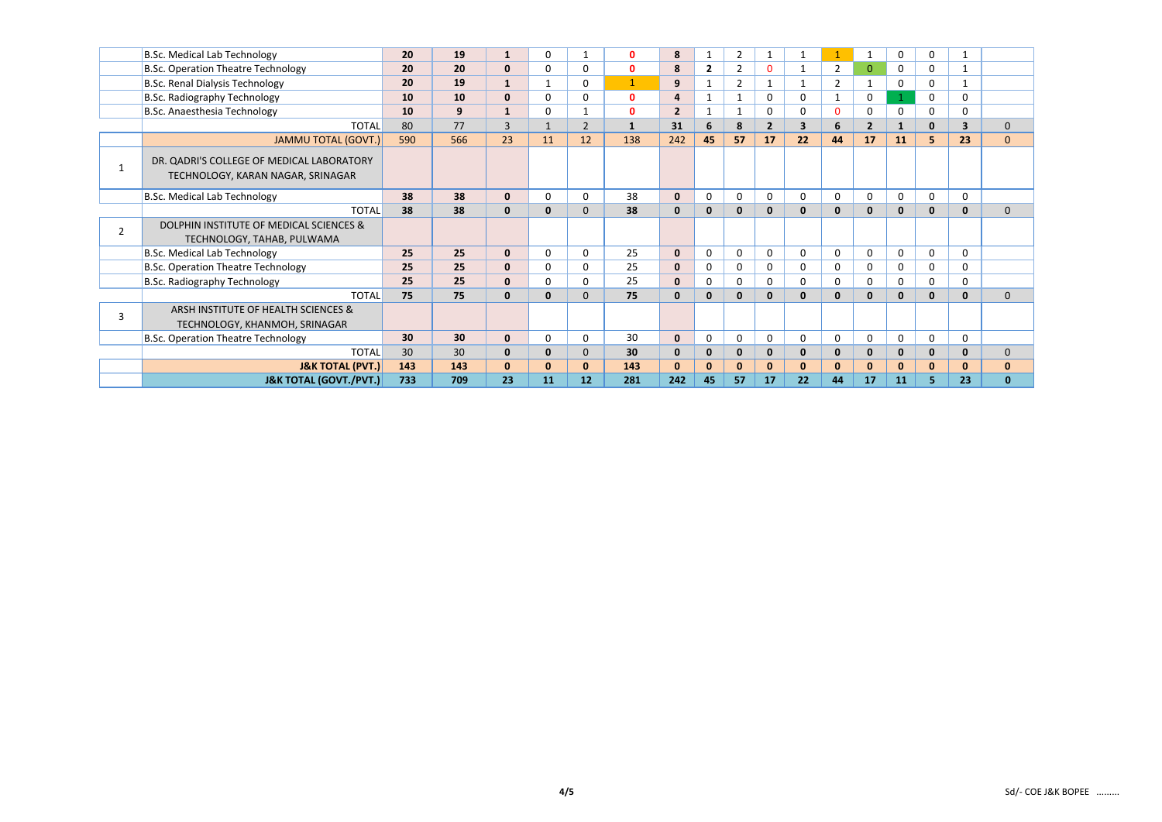|                | <b>B.Sc. Medical Lab Technology</b>                                            | 20              | 19  | 1            | 0            |                | $\mathbf{0}$ | 8              | 1            | $\overline{2}$ | 1              | $\mathbf{1}$            |                | 1              | $\mathsf{O}$ | $\mathbf 0$  |                         |              |
|----------------|--------------------------------------------------------------------------------|-----------------|-----|--------------|--------------|----------------|--------------|----------------|--------------|----------------|----------------|-------------------------|----------------|----------------|--------------|--------------|-------------------------|--------------|
|                | <b>B.Sc. Operation Theatre Technology</b>                                      | 20              | 20  | $\mathbf{0}$ | 0            | 0              | $\mathbf{0}$ | 8              | $\mathbf{2}$ | $\overline{2}$ |                | -1                      | $\overline{2}$ | $\Omega$       | $\mathbf 0$  | 0            |                         |              |
|                | <b>B.Sc. Renal Dialysis Technology</b>                                         | 20              | 19  | $\mathbf{1}$ |              | 0              | $\mathbf{1}$ | 9              |              | $\overline{2}$ |                | $\mathbf{1}$            | $\overline{2}$ |                | 0            | $\mathbf 0$  |                         |              |
|                | <b>B.Sc. Radiography Technology</b>                                            | 10              | 10  | $\mathbf{0}$ | 0            | 0              | $\mathbf{0}$ | 4              |              |                | 0              | 0                       | 1              | $\mathbf 0$    |              | 0            | $\mathbf 0$             |              |
|                | B.Sc. Anaesthesia Technology                                                   | <b>10</b>       | 9   |              | 0            |                | $\mathbf{0}$ | $\overline{2}$ | 1            |                | $\Omega$       | $\mathbf 0$             | 0              | $\Omega$       | 0            | 0            | 0                       |              |
|                | <b>TOTAL</b>                                                                   | 80              | 77  | 3            |              | $\overline{2}$ | $\mathbf{1}$ | 31             | 6            | 8              | $\overline{2}$ | $\overline{\mathbf{3}}$ | 6              | $\overline{2}$ | $\mathbf{1}$ | $\mathbf 0$  | $\overline{\mathbf{3}}$ | $\Omega$     |
|                | <b>JAMMU TOTAL (GOVT.)</b>                                                     | 590             | 566 | 23           | 11           | 12             | 138          | 242            | 45           | 57             | 17             | 22                      | 44             | 17             | 11           | 5            | 23                      | $\mathbf{0}$ |
|                | DR. QADRI'S COLLEGE OF MEDICAL LABORATORY<br>TECHNOLOGY, KARAN NAGAR, SRINAGAR |                 |     |              |              |                |              |                |              |                |                |                         |                |                |              |              |                         |              |
|                | <b>B.Sc. Medical Lab Technology</b>                                            | 38              | 38  | $\mathbf{0}$ | 0            | 0              | 38           | $\mathbf{0}$   | $\mathbf{0}$ | 0              | $\mathbf{0}$   | 0                       | 0              | $\Omega$       | 0            | $\mathbf 0$  | $\mathbf 0$             |              |
|                | <b>TOTAL</b>                                                                   | 38              | 38  | $\mathbf 0$  | 0            | 0              | 38           | $\mathbf 0$    | 0            | $\mathbf 0$    | $\bf{0}$       | $\mathbf{0}$            | $\mathbf{0}$   | $\bf{0}$       | $\mathbf{0}$ | $\mathbf{0}$ | $\mathbf{0}$            | $\mathbf 0$  |
| $\overline{2}$ | DOLPHIN INSTITUTE OF MEDICAL SCIENCES &<br>TECHNOLOGY, TAHAB, PULWAMA          |                 |     |              |              |                |              |                |              |                |                |                         |                |                |              |              |                         |              |
|                | <b>B.Sc. Medical Lab Technology</b>                                            | 25              | 25  | $\mathbf{0}$ | 0            | 0              | 25           | $\mathbf{0}$   | $\mathbf{0}$ | $\mathbf 0$    | $\mathbf{0}$   | $\Omega$                | $\mathbf{0}$   | $\Omega$       | $\mathbf 0$  | 0            | $\mathbf 0$             |              |
|                | <b>B.Sc. Operation Theatre Technology</b>                                      | 25              | 25  | $\mathbf{0}$ | 0            | 0              | 25           | $\mathbf{0}$   | 0            | $\mathbf 0$    | $\mathbf 0$    | 0                       | 0              | $\Omega$       | 0            | 0            | $\mathbf 0$             |              |
|                | <b>B.Sc. Radiography Technology</b>                                            | 25              | 25  | $\mathbf{0}$ | 0            | O.             | 25           | $\mathbf{0}$   | 0            | 0              | $\Omega$       | 0                       | 0              | $\Omega$       | 0            | 0            | $\mathbf{0}$            |              |
|                | <b>TOTAL</b>                                                                   | 75              | 75  | $\bf{0}$     | 0            | 0              | 75           | $\mathbf 0$    | 0            | $\mathbf{0}$   | $\bf{0}$       | $\mathbf{0}$            | $\mathbf{0}$   | $\bf{0}$       | $\mathbf{0}$ | $\mathbf{0}$ | $\mathbf{0}$            | $\Omega$     |
| 3              | ARSH INSTITUTE OF HEALTH SCIENCES &<br>TECHNOLOGY, KHANMOH, SRINAGAR           |                 |     |              |              |                |              |                |              |                |                |                         |                |                |              |              |                         |              |
|                | <b>B.Sc. Operation Theatre Technology</b>                                      | 30 <sup>°</sup> | 30  | $\mathbf{0}$ | 0            | 0              | 30           | $\mathbf{0}$   | $\mathbf 0$  | $\mathbf 0$    | 0              | $\mathbf 0$             | 0              | $\mathbf 0$    | $\mathbf 0$  | $\mathbf 0$  | $\mathbf 0$             |              |
|                | <b>TOTAL</b>                                                                   | 30              | 30  | $\mathbf 0$  | 0            | 0              | 30           | $\mathbf 0$    | 0            | $\mathbf 0$    | $\bf{0}$       | $\mathbf 0$             | $\mathbf{0}$   | $\bf{0}$       | $\mathbf 0$  | $\mathbf{0}$ | $\mathbf{0}$            | $\mathbf 0$  |
|                | <b>J&amp;K TOTAL (PVT.)</b>                                                    | 143             | 143 | $\mathbf 0$  | $\mathbf{0}$ | 0              | 143          | $\mathbf{0}$   | $\Omega$     | $\mathbf{0}$   | $\mathbf{0}$   | $\mathbf{0}$            | $\mathbf{0}$   | $\Omega$       | $\mathbf{0}$ | $\bf{0}$     | $\mathbf{0}$            | $\mathbf 0$  |
|                | <b>J&amp;K TOTAL (GOVT./PVT.)</b>                                              | 733             | 709 | 23           | 11           | 12             | 281          | 242            | 45           | 57             | 17             | 22                      | 44             | 17             | 11           | 5            | 23                      | $\mathbf{0}$ |